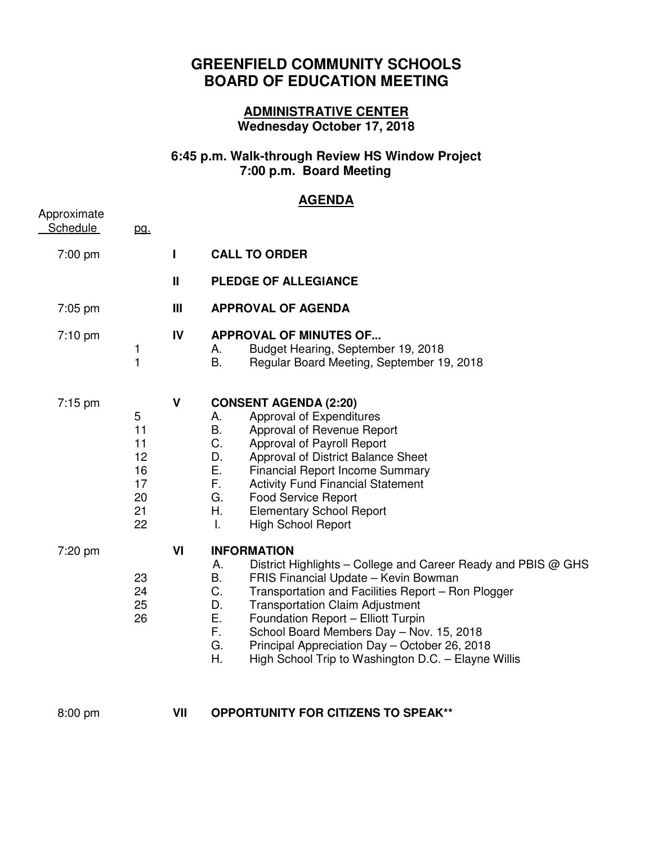## **GREENFIELD COMMUNITY SCHOOLS BOARD OF EDUCATION MEETING**

## **ADMINISTRATIVE CENTER Wednesday October 17, 2018**

## **6:45 p.m. Walk-through Review HS Window Project 7:00 p.m. Board Meeting**

## **AGENDA**

| Approximate<br>Schedule | pg.                                               |              |                                                                                                                                                                                                                                                                                                                                                                                                                                                                       |
|-------------------------|---------------------------------------------------|--------------|-----------------------------------------------------------------------------------------------------------------------------------------------------------------------------------------------------------------------------------------------------------------------------------------------------------------------------------------------------------------------------------------------------------------------------------------------------------------------|
| 7:00 pm                 |                                                   | I            | <b>CALL TO ORDER</b>                                                                                                                                                                                                                                                                                                                                                                                                                                                  |
|                         |                                                   | $\mathbf{I}$ | <b>PLEDGE OF ALLEGIANCE</b>                                                                                                                                                                                                                                                                                                                                                                                                                                           |
| 7:05 pm                 |                                                   | Ш            | <b>APPROVAL OF AGENDA</b>                                                                                                                                                                                                                                                                                                                                                                                                                                             |
| $7:10 \text{ pm}$       | 1<br>$\mathbf{1}$                                 | IV           | <b>APPROVAL OF MINUTES OF</b><br>Budget Hearing, September 19, 2018<br>А.<br>В.<br>Regular Board Meeting, September 19, 2018                                                                                                                                                                                                                                                                                                                                          |
| $7:15$ pm               | 5<br>11<br>11<br>12<br>16<br>17<br>20<br>21<br>22 | $\mathsf{V}$ | <b>CONSENT AGENDA (2:20)</b><br>Approval of Expenditures<br>А.<br>В.<br>Approval of Revenue Report<br>C.<br>Approval of Payroll Report<br>D.<br>Approval of District Balance Sheet<br>Ε.<br><b>Financial Report Income Summary</b><br>F.<br><b>Activity Fund Financial Statement</b><br>G.<br><b>Food Service Report</b><br>Η.<br><b>Elementary School Report</b><br>Τ.<br><b>High School Report</b>                                                                  |
| 7:20 pm                 | 23<br>24<br>25<br>26                              | VI           | <b>INFORMATION</b><br>District Highlights – College and Career Ready and PBIS @ GHS<br>Α.<br>Β.<br>FRIS Financial Update - Kevin Bowman<br>C.<br>Transportation and Facilities Report - Ron Plogger<br>D.<br><b>Transportation Claim Adjustment</b><br>Ε.<br>Foundation Report - Elliott Turpin<br>F.<br>School Board Members Day - Nov. 15, 2018<br>G.<br>Principal Appreciation Day - October 26, 2018<br>Η.<br>High School Trip to Washington D.C. - Elayne Willis |
| 8:00 pm                 |                                                   | VII          | <b>OPPORTUNITY FOR CITIZENS TO SPEAK**</b>                                                                                                                                                                                                                                                                                                                                                                                                                            |